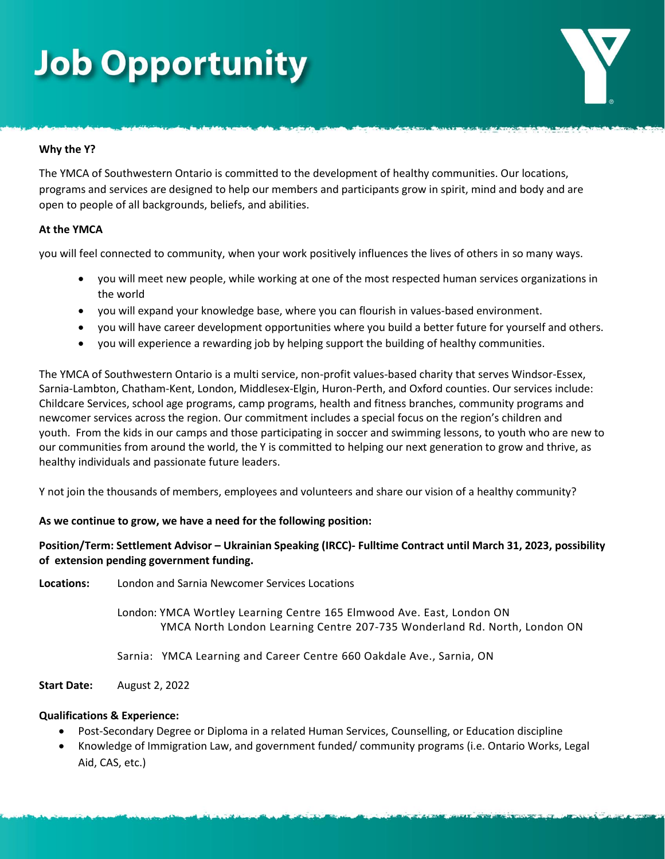## **Job Opportunity**

#### **Why the Y?**

The YMCA of Southwestern Ontario is committed to the development of healthy communities. Our locations, programs and services are designed to help our members and participants grow in spirit, mind and body and are open to people of all backgrounds, beliefs, and abilities.

#### **At the YMCA**

you will feel connected to community, when your work positively influences the lives of others in so many ways.

- you will meet new people, while working at one of the most respected human services organizations in the world
- you will expand your knowledge base, where you can flourish in values-based environment.
- you will have career development opportunities where you build a better future for yourself and others.
- you will experience a rewarding job by helping support the building of healthy communities.

The YMCA of Southwestern Ontario is a multi service, non-profit values-based charity that serves Windsor-Essex, Sarnia-Lambton, Chatham-Kent, London, Middlesex-Elgin, Huron-Perth, and Oxford counties. Our services include: Childcare Services, school age programs, camp programs, health and fitness branches, community programs and newcomer services across the region. Our commitment includes a special focus on the region's children and youth. From the kids in our camps and those participating in soccer and swimming lessons, to youth who are new to our communities from around the world, the Y is committed to helping our next generation to grow and thrive, as healthy individuals and passionate future leaders.

Y not join the thousands of members, employees and volunteers and share our vision of a healthy community?

### **As we continue to grow, we have a need for the following position:**

**Position/Term: Settlement Advisor – Ukrainian Speaking (IRCC)- Fulltime Contract until March 31, 2023, possibility of extension pending government funding.**

**Locations:** London and Sarnia Newcomer Services Locations

London: YMCA Wortley Learning Centre 165 Elmwood Ave. East, London ON YMCA North London Learning Centre 207-735 Wonderland Rd. North, London ON

Sarnia: YMCA Learning and Career Centre 660 Oakdale Ave., Sarnia, ON

**Start Date:** August 2, 2022

#### **Qualifications & Experience:**

- Post-Secondary Degree or Diploma in a related Human Services, Counselling, or Education discipline
- Knowledge of Immigration Law, and government funded/ community programs (i.e. Ontario Works, Legal Aid, CAS, etc.)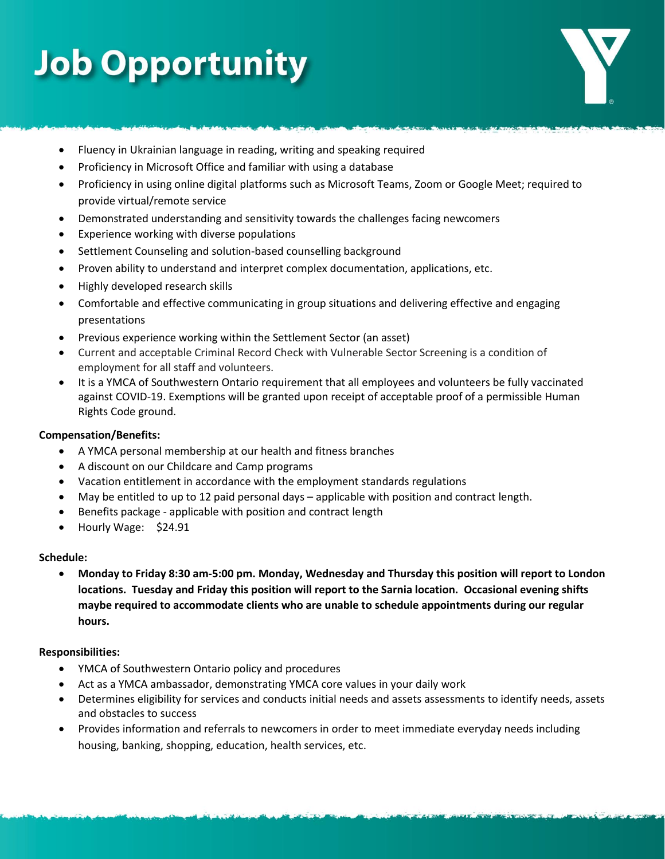# **Job Opportunity**

- Fluency in Ukrainian language in reading, writing and speaking required
- Proficiency in Microsoft Office and familiar with using a database
- Proficiency in using online digital platforms such as Microsoft Teams, Zoom or Google Meet; required to provide virtual/remote service
- Demonstrated understanding and sensitivity towards the challenges facing newcomers
- Experience working with diverse populations
- Settlement Counseling and solution-based counselling background
- Proven ability to understand and interpret complex documentation, applications, etc.
- Highly developed research skills
- Comfortable and effective communicating in group situations and delivering effective and engaging presentations
- Previous experience working within the Settlement Sector (an asset)
- Current and acceptable Criminal Record Check with Vulnerable Sector Screening is a condition of employment for all staff and volunteers.
- It is a YMCA of Southwestern Ontario requirement that all employees and volunteers be fully vaccinated against COVID-19. Exemptions will be granted upon receipt of acceptable proof of a permissible Human Rights Code ground.

### **Compensation/Benefits:**

- A YMCA personal membership at our health and fitness branches
- A discount on our Childcare and Camp programs
- Vacation entitlement in accordance with the employment standards regulations
- May be entitled to up to 12 paid personal days applicable with position and contract length.
- Benefits package applicable with position and contract length
- Hourly Wage: \$24.91

#### **Schedule:**

• **Monday to Friday 8:30 am-5:00 pm. Monday, Wednesday and Thursday this position will report to London locations. Tuesday and Friday this position will report to the Sarnia location. Occasional evening shifts maybe required to accommodate clients who are unable to schedule appointments during our regular hours.**

#### **Responsibilities:**

- YMCA of Southwestern Ontario policy and procedures
- Act as a YMCA ambassador, demonstrating YMCA core values in your daily work
- Determines eligibility for services and conducts initial needs and assets assessments to identify needs, assets and obstacles to success
- Provides information and referrals to newcomers in order to meet immediate everyday needs including housing, banking, shopping, education, health services, etc.